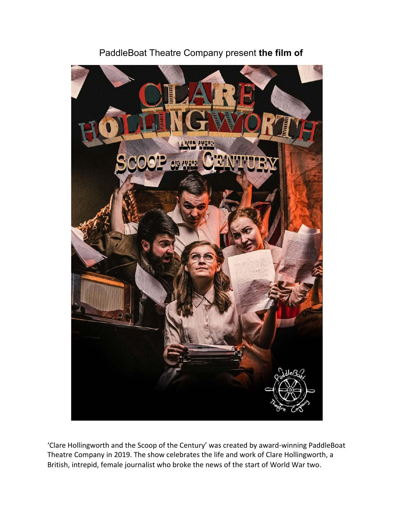

PaddleBoat Theatre Company present **the film of**

'Clare Hollingworth and the Scoop of the Century' was created by award-winning PaddleBoat Theatre Company in 2019. The show celebrates the life and work of Clare Hollingworth, a British, intrepid, female journalist who broke the news of the start of World War two.